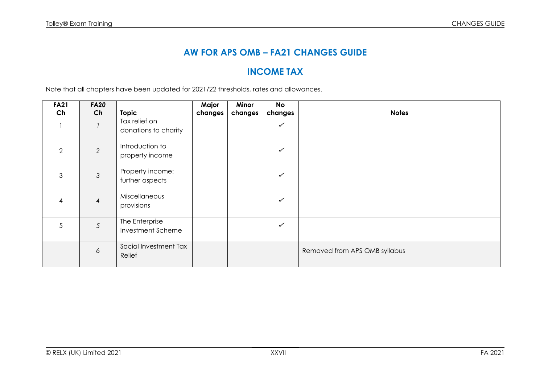# **AW FOR APS OMB – FA21 CHANGES GUIDE**

# **INCOME TAX**

Note that all chapters have been updated for 2021/22 thresholds, rates and allowances.

| <b>FA21</b> | <b>FA20</b>    |                                       | Major   | Minor   | <b>No</b>    |                               |
|-------------|----------------|---------------------------------------|---------|---------|--------------|-------------------------------|
| Ch          | Ch             | <b>Topic</b>                          | changes | changes | changes      | <b>Notes</b>                  |
|             |                | Tax relief on<br>donations to charity |         |         | $\checkmark$ |                               |
| 2           | 2              | Introduction to<br>property income    |         |         | $\checkmark$ |                               |
| 3           | 3              | Property income:<br>further aspects   |         |         | $\checkmark$ |                               |
| 4           | $\overline{4}$ | Miscellaneous<br>provisions           |         |         | $\checkmark$ |                               |
| 5           | 5              | The Enterprise<br>Investment Scheme   |         |         | $\checkmark$ |                               |
|             | 6              | Social Investment Tax<br>Relief       |         |         |              | Removed from APS OMB syllabus |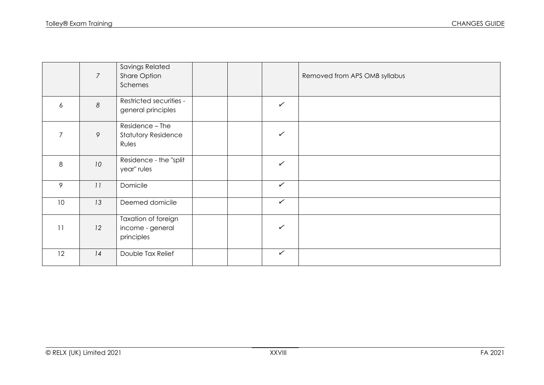|                  | $\overline{7}$   | Savings Related<br>Share Option<br>Schemes             |  |              | Removed from APS OMB syllabus |
|------------------|------------------|--------------------------------------------------------|--|--------------|-------------------------------|
| $\boldsymbol{6}$ | $\boldsymbol{8}$ | Restricted securities -<br>general principles          |  | $\checkmark$ |                               |
| $\overline{7}$   | 9                | Residence - The<br><b>Statutory Residence</b><br>Rules |  | $\checkmark$ |                               |
| $\,8\,$          | 10               | Residence - the "split<br>year" rules                  |  | $\checkmark$ |                               |
| 9                | 11               | Domicile                                               |  | $\checkmark$ |                               |
| 10               | 13               | Deemed domicile                                        |  | $\checkmark$ |                               |
| 11               | 12               | Taxation of foreign<br>income - general<br>principles  |  | $\checkmark$ |                               |
| 12               | 14               | Double Tax Relief                                      |  | $\checkmark$ |                               |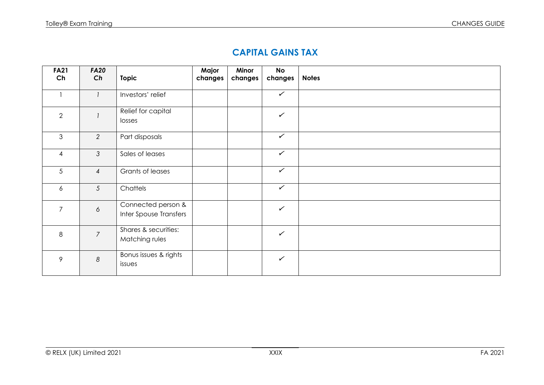### **CAPITAL GAINS TAX**

| <b>FA21</b><br>Ch | <b>FA20</b><br>Ch | <b>Topic</b>                                 | Major<br>changes | Minor<br>changes | <b>No</b><br>changes | <b>Notes</b> |
|-------------------|-------------------|----------------------------------------------|------------------|------------------|----------------------|--------------|
|                   | $\mathbf{I}$      | Investors' relief                            |                  |                  | $\checkmark$         |              |
| $\overline{2}$    |                   | Relief for capital<br>losses                 |                  |                  | $\checkmark$         |              |
| $\mathfrak{S}$    | $\overline{2}$    | Part disposals                               |                  |                  | $\checkmark$         |              |
| $\overline{4}$    | 3                 | Sales of leases                              |                  |                  | $\checkmark$         |              |
| 5                 | $\overline{4}$    | Grants of leases                             |                  |                  | $\checkmark$         |              |
| 6                 | $5\overline{)}$   | Chattels                                     |                  |                  | $\checkmark$         |              |
| $\overline{7}$    | $\sigma$          | Connected person &<br>Inter Spouse Transfers |                  |                  | $\checkmark$         |              |
| 8                 | $\overline{7}$    | Shares & securities:<br>Matching rules       |                  |                  | $\checkmark$         |              |
| 9                 | $\boldsymbol{8}$  | Bonus issues & rights<br>issues              |                  |                  | $\checkmark$         |              |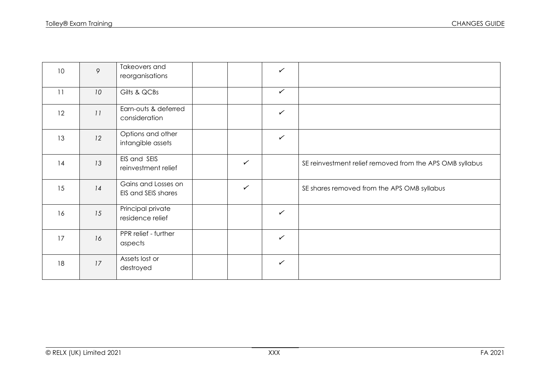| 10 | 9  | Takeovers and<br>reorganisations           |              | $\checkmark$ |                                                          |
|----|----|--------------------------------------------|--------------|--------------|----------------------------------------------------------|
| 11 | 10 | Gilts & QCBs                               |              | $\checkmark$ |                                                          |
| 12 | 11 | Earn-outs & deferred<br>consideration      |              | $\checkmark$ |                                                          |
| 13 | 12 | Options and other<br>intangible assets     |              | $\checkmark$ |                                                          |
| 14 | 13 | EIS and SEIS<br>reinvestment relief        | $\checkmark$ |              | SE reinvestment relief removed from the APS OMB syllabus |
| 15 | 14 | Gains and Losses on<br>EIS and SEIS shares | $\checkmark$ |              | SE shares removed from the APS OMB syllabus              |
| 16 | 15 | Principal private<br>residence relief      |              | $\checkmark$ |                                                          |
| 17 | 16 | PPR relief - further<br>aspects            |              | $\checkmark$ |                                                          |
| 18 | 17 | Assets lost or<br>destroyed                |              | $\checkmark$ |                                                          |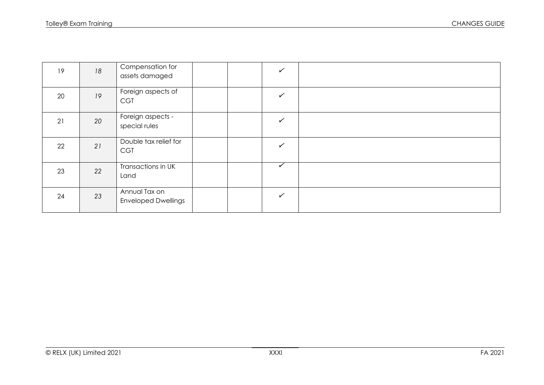| 19 | 18 | Compensation for<br>assets damaged          |  | $\checkmark$            |  |
|----|----|---------------------------------------------|--|-------------------------|--|
| 20 | 19 | Foreign aspects of<br><b>CGT</b>            |  | $\checkmark$            |  |
| 21 | 20 | Foreign aspects -<br>special rules          |  | $\checkmark$            |  |
| 22 | 21 | Double tax relief for<br><b>CGT</b>         |  | $\checkmark$            |  |
| 23 | 22 | Transactions in UK<br>Land                  |  | $\overline{\checkmark}$ |  |
| 24 | 23 | Annual Tax on<br><b>Enveloped Dwellings</b> |  | $\checkmark$            |  |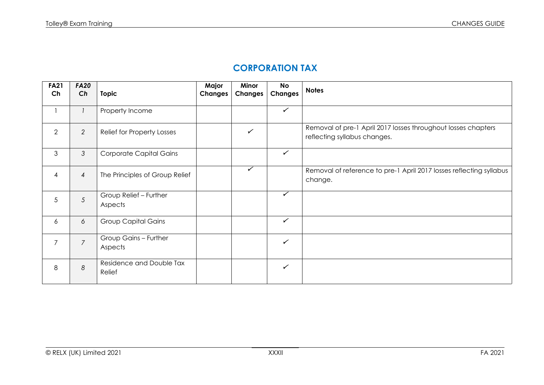# **CORPORATION TAX**

| <b>FA21</b><br>Ch | <b>FA20</b><br>Ch | <b>Topic</b>                       | Major<br><b>Changes</b> | Minor<br><b>Changes</b> | <b>No</b><br><b>Changes</b> | <b>Notes</b>                                                                                  |
|-------------------|-------------------|------------------------------------|-------------------------|-------------------------|-----------------------------|-----------------------------------------------------------------------------------------------|
|                   | $\overline{1}$    | Property Income                    |                         |                         | $\checkmark$                |                                                                                               |
| $\overline{2}$    | $\overline{2}$    | Relief for Property Losses         |                         | ✓                       |                             | Removal of pre-1 April 2017 losses throughout losses chapters<br>reflecting syllabus changes. |
| 3                 | $\mathcal{S}$     | <b>Corporate Capital Gains</b>     |                         |                         | $\checkmark$                |                                                                                               |
| 4                 | $\overline{4}$    | The Principles of Group Relief     |                         | ✓                       |                             | Removal of reference to pre-1 April 2017 losses reflecting syllabus<br>change.                |
| 5                 | 5                 | Group Relief - Further<br>Aspects  |                         |                         | $\checkmark$                |                                                                                               |
| 6                 | 6                 | <b>Group Capital Gains</b>         |                         |                         | $\checkmark$                |                                                                                               |
| $\overline{7}$    | $\overline{7}$    | Group Gains - Further<br>Aspects   |                         |                         | ✓                           |                                                                                               |
| 8                 | 8                 | Residence and Double Tax<br>Relief |                         |                         | ✓                           |                                                                                               |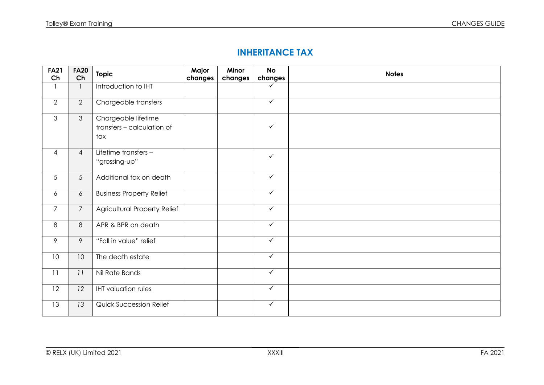### **INHERITANCE TAX**

| <b>FA21</b><br>Ch | <b>FA20</b><br>Ch | Topic                                                    | Major<br>changes | Minor<br>changes | <b>No</b><br>changes    | <b>Notes</b> |
|-------------------|-------------------|----------------------------------------------------------|------------------|------------------|-------------------------|--------------|
|                   | $\mathbf{1}$      | Introduction to IHT                                      |                  |                  | $\checkmark$            |              |
| $\overline{2}$    | $\mathbf{2}$      | Chargeable transfers                                     |                  |                  | $\sqrt{}$               |              |
| 3                 | $\mathfrak{Z}$    | Chargeable lifetime<br>transfers - calculation of<br>tax |                  |                  | $\checkmark$            |              |
| $\overline{4}$    | $\overline{4}$    | Lifetime transfers -<br>"grossing-up"                    |                  |                  | $\checkmark$            |              |
| 5                 | 5                 | Additional tax on death                                  |                  |                  | $\checkmark$            |              |
| 6                 | $\boldsymbol{6}$  | <b>Business Property Relief</b>                          |                  |                  | $\overline{\checkmark}$ |              |
| $\overline{7}$    | $\overline{7}$    | <b>Agricultural Property Relief</b>                      |                  |                  | $\checkmark$            |              |
| 8                 | $\,8\,$           | APR & BPR on death                                       |                  |                  | $\checkmark$            |              |
| 9                 | 9                 | "Fall in value" relief                                   |                  |                  | $\checkmark$            |              |
| 10 <sup>°</sup>   | 10                | The death estate                                         |                  |                  | $\checkmark$            |              |
| 11                | 11                | Nil Rate Bands                                           |                  |                  | $\overline{\checkmark}$ |              |
| 12                | 12                | <b>IHT</b> valuation rules                               |                  |                  | $\checkmark$            |              |
| 13                | 13                | <b>Quick Succession Relief</b>                           |                  |                  | $\overline{\checkmark}$ |              |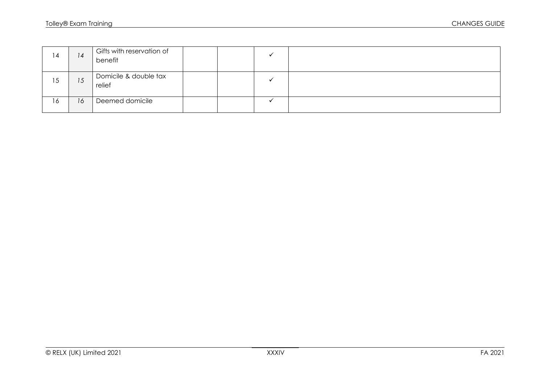| 14 | 14 | Gifts with reservation of<br>benefit |  |
|----|----|--------------------------------------|--|
| 15 | 15 | Domicile & double tax<br>relief      |  |
| 16 | 16 | Deemed domicile                      |  |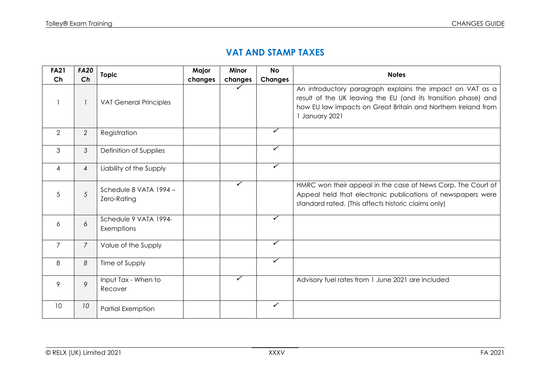#### **VAT AND STAMP TAXES**

| <b>FA21</b>    | <b>FA20</b>    | <b>Topic</b>                          | Major   | Minor   | <b>No</b>               | <b>Notes</b>                                                                                                                                                                                                 |
|----------------|----------------|---------------------------------------|---------|---------|-------------------------|--------------------------------------------------------------------------------------------------------------------------------------------------------------------------------------------------------------|
| Ch             | Ch             |                                       | changes | changes | <b>Changes</b>          |                                                                                                                                                                                                              |
|                |                | <b>VAT General Principles</b>         |         | ✓       |                         | An introductory paragraph explains the impact on VAT as a<br>result of the UK leaving the EU (and its transition phase) and<br>how EU law impacts on Great Britain and Northern Ireland from<br>January 2021 |
| 2              | $\overline{2}$ | Registration                          |         |         | ✓                       |                                                                                                                                                                                                              |
| 3              | $\mathfrak{Z}$ | Definition of Supplies                |         |         | ✓                       |                                                                                                                                                                                                              |
| 4              | $\overline{4}$ | Liability of the Supply               |         |         | ✓                       |                                                                                                                                                                                                              |
| 5              | 5              | Schedule 8 VATA 1994 -<br>Zero-Rating |         | ✓       |                         | HMRC won their appeal in the case of News Corp. The Court of<br>Appeal held that electronic publications of newspapers were<br>standard rated. (This affects historic claims only)                           |
| 6              | 6              | Schedule 9 VATA 1994-<br>Exemptions   |         |         | ✓                       |                                                                                                                                                                                                              |
| $\overline{7}$ | $\overline{7}$ | Value of the Supply                   |         |         | ✓                       |                                                                                                                                                                                                              |
| 8              | 8              | Time of Supply                        |         |         | $\overline{\checkmark}$ |                                                                                                                                                                                                              |
| 9              | 9              | Input Tax - When to<br>Recover        |         | ✓       |                         | Advisory fuel rates from 1 June 2021 are included                                                                                                                                                            |
| 10             | 10             | Partial Exemption                     |         |         | $\checkmark$            |                                                                                                                                                                                                              |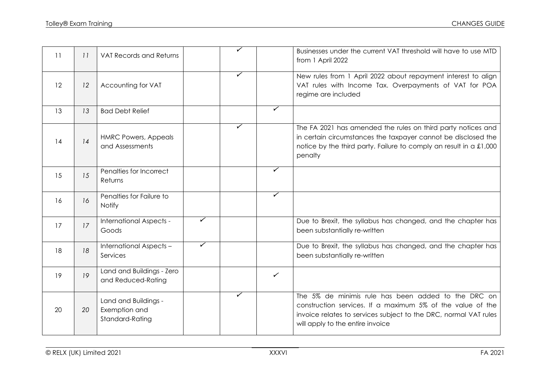| 11 | 11 | <b>VAT Records and Returns</b>                           |                         | ✓                       |              | Businesses under the current VAT threshold will have to use MTD<br>from 1 April 2022                                                                                                                                      |
|----|----|----------------------------------------------------------|-------------------------|-------------------------|--------------|---------------------------------------------------------------------------------------------------------------------------------------------------------------------------------------------------------------------------|
| 12 | 12 | Accounting for VAT                                       |                         | ✓                       |              | New rules from 1 April 2022 about repayment interest to align<br>VAT rules with Income Tax. Overpayments of VAT for POA<br>regime are included                                                                            |
| 13 | 13 | <b>Bad Debt Relief</b>                                   |                         |                         | ✓            |                                                                                                                                                                                                                           |
| 14 | 14 | <b>HMRC Powers, Appeals</b><br>and Assessments           |                         | $\overline{\checkmark}$ |              | The FA 2021 has amended the rules on third party notices and<br>in certain circumstances the taxpayer cannot be disclosed the<br>notice by the third party. Failure to comply an result in a £1,000<br>penalty            |
| 15 | 15 | Penalties for Incorrect<br>Returns                       |                         |                         | ✓            |                                                                                                                                                                                                                           |
| 16 | 16 | Penalties for Failure to<br>Notify                       |                         |                         | ✓            |                                                                                                                                                                                                                           |
| 17 | 17 | International Aspects -<br>Goods                         | ✓                       |                         |              | Due to Brexit, the syllabus has changed, and the chapter has<br>been substantially re-written                                                                                                                             |
| 18 | 18 | International Aspects -<br>Services                      | $\overline{\checkmark}$ |                         |              | Due to Brexit, the syllabus has changed, and the chapter has<br>been substantially re-written                                                                                                                             |
| 19 | 19 | Land and Buildings - Zero<br>and Reduced-Rating          |                         |                         | $\checkmark$ |                                                                                                                                                                                                                           |
| 20 | 20 | Land and Buildings -<br>Exemption and<br>Standard-Rating |                         | ✓                       |              | The 5% de minimis rule has been added to the DRC on<br>construction services. If a maximum 5% of the value of the<br>invoice relates to services subject to the DRC, normal VAT rules<br>will apply to the entire invoice |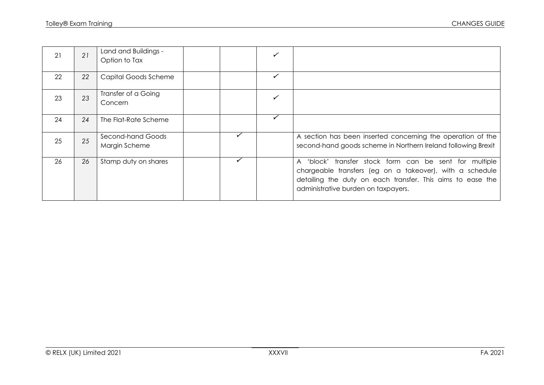| 21 | 21 | Land and Buildings -<br>Option to Tax |   |                                                                                                                                                                                                                         |
|----|----|---------------------------------------|---|-------------------------------------------------------------------------------------------------------------------------------------------------------------------------------------------------------------------------|
| 22 | 22 | <b>Capital Goods Scheme</b>           | ✓ |                                                                                                                                                                                                                         |
| 23 | 23 | Transfer of a Going<br>Concern        |   |                                                                                                                                                                                                                         |
| 24 | 24 | The Flat-Rate Scheme                  |   |                                                                                                                                                                                                                         |
| 25 | 25 | Second-hand Goods<br>Margin Scheme    |   | A section has been inserted concerning the operation of the<br>second-hand goods scheme in Northern Ireland following Brexit                                                                                            |
| 26 | 26 | Stamp duty on shares                  |   | A 'block' transfer stock form can be sent for multiple<br>chargeable transfers (eg on a takeover), with a schedule<br>detailing the duty on each transfer. This aims to ease the<br>administrative burden on taxpayers. |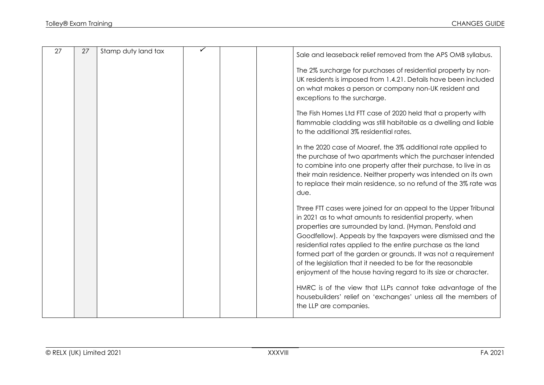| 27 | 27 | Stamp duty land tax |  | Sale and leaseback relief removed from the APS OMB syllabus.                                                                                                                                                                                                                                                                                                                                                                                                                                                             |
|----|----|---------------------|--|--------------------------------------------------------------------------------------------------------------------------------------------------------------------------------------------------------------------------------------------------------------------------------------------------------------------------------------------------------------------------------------------------------------------------------------------------------------------------------------------------------------------------|
|    |    |                     |  | The 2% surcharge for purchases of residential property by non-<br>UK residents is imposed from 1.4.21. Details have been included<br>on what makes a person or company non-UK resident and<br>exceptions to the surcharge.                                                                                                                                                                                                                                                                                               |
|    |    |                     |  | The Fish Homes Ltd FTT case of 2020 held that a property with<br>flammable cladding was still habitable as a dwelling and liable<br>to the additional 3% residential rates.                                                                                                                                                                                                                                                                                                                                              |
|    |    |                     |  | In the 2020 case of Moaref, the 3% additional rate applied to<br>the purchase of two apartments which the purchaser intended<br>to combine into one property after their purchase, to live in as<br>their main residence. Neither property was intended on its own<br>to replace their main residence, so no refund of the 3% rate was<br>due.                                                                                                                                                                           |
|    |    |                     |  | Three FTT cases were joined for an appeal to the Upper Tribunal<br>in 2021 as to what amounts to residential property, when<br>properties are surrounded by land. (Hyman, Pensfold and<br>Goodfellow). Appeals by the taxpayers were dismissed and the<br>residential rates applied to the entire purchase as the land<br>formed part of the garden or grounds. It was not a requirement<br>of the legislation that it needed to be for the reasonable<br>enjoyment of the house having regard to its size or character. |
|    |    |                     |  | HMRC is of the view that LLPs cannot take advantage of the<br>housebuilders' relief on 'exchanges' unless all the members of<br>the LLP are companies.                                                                                                                                                                                                                                                                                                                                                                   |